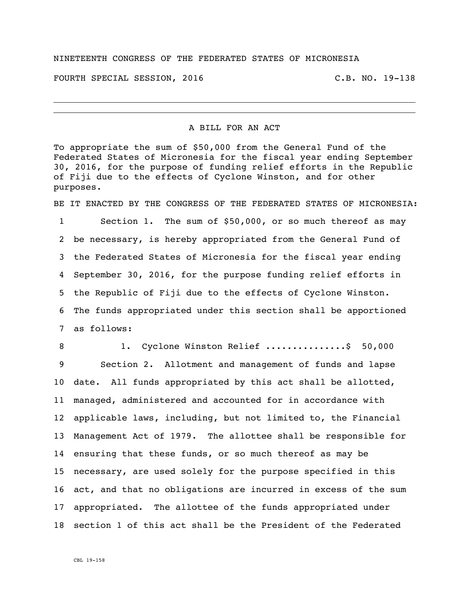## NINETEENTH CONGRESS OF THE FEDERATED STATES OF MICRONESIA

FOURTH SPECIAL SESSION, 2016 C.B. NO. 19-138

A BILL FOR AN ACT

To appropriate the sum of \$50,000 from the General Fund of the Federated States of Micronesia for the fiscal year ending September 30, 2016, for the purpose of funding relief efforts in the Republic of Fiji due to the effects of Cyclone Winston, and for other purposes.

BE IT ENACTED BY THE CONGRESS OF THE FEDERATED STATES OF MICRONESIA:

 Section 1. The sum of \$50,000, or so much thereof as may be necessary, is hereby appropriated from the General Fund of the Federated States of Micronesia for the fiscal year ending September 30, 2016, for the purpose funding relief efforts in the Republic of Fiji due to the effects of Cyclone Winston. The funds appropriated under this section shall be apportioned as follows:

8 1. Cyclone Winston Relief ................\$ 50,000 Section 2. Allotment and management of funds and lapse date. All funds appropriated by this act shall be allotted, managed, administered and accounted for in accordance with applicable laws, including, but not limited to, the Financial Management Act of 1979. The allottee shall be responsible for ensuring that these funds, or so much thereof as may be necessary, are used solely for the purpose specified in this act, and that no obligations are incurred in excess of the sum appropriated. The allottee of the funds appropriated under section 1 of this act shall be the President of the Federated